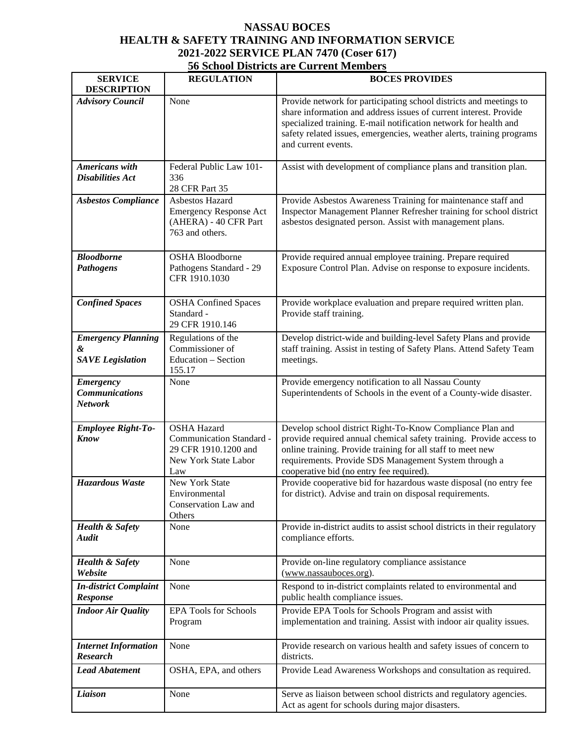## **NASSAU BOCES HEALTH & SAFETY TRAINING AND INFORMATION SERVICE 2021-2022 SERVICE PLAN 7470 (Coser 617)**

| <b>56 School Districts are Current Members</b> |  |
|------------------------------------------------|--|
|------------------------------------------------|--|

| <b>SERVICE</b><br><b>DESCRIPTION</b>                        | <b>REGULATION</b>                                                                                     | <b>BOCES PROVIDES</b>                                                                                                                                                                                                                                                                                       |
|-------------------------------------------------------------|-------------------------------------------------------------------------------------------------------|-------------------------------------------------------------------------------------------------------------------------------------------------------------------------------------------------------------------------------------------------------------------------------------------------------------|
| <b>Advisory Council</b>                                     | None                                                                                                  | Provide network for participating school districts and meetings to<br>share information and address issues of current interest. Provide<br>specialized training. E-mail notification network for health and<br>safety related issues, emergencies, weather alerts, training programs<br>and current events. |
| <b>Americans</b> with<br><b>Disabilities Act</b>            | Federal Public Law 101-<br>336<br>28 CFR Part 35                                                      | Assist with development of compliance plans and transition plan.                                                                                                                                                                                                                                            |
| <b>Asbestos Compliance</b>                                  | Asbestos Hazard<br><b>Emergency Response Act</b><br>(AHERA) - 40 CFR Part<br>763 and others.          | Provide Asbestos Awareness Training for maintenance staff and<br>Inspector Management Planner Refresher training for school district<br>asbestos designated person. Assist with management plans.                                                                                                           |
| <b>Bloodborne</b><br><b>Pathogens</b>                       | <b>OSHA Bloodborne</b><br>Pathogens Standard - 29<br>CFR 1910.1030                                    | Provide required annual employee training. Prepare required<br>Exposure Control Plan. Advise on response to exposure incidents.                                                                                                                                                                             |
| <b>Confined Spaces</b>                                      | <b>OSHA Confined Spaces</b><br>Standard -<br>29 CFR 1910.146                                          | Provide workplace evaluation and prepare required written plan.<br>Provide staff training.                                                                                                                                                                                                                  |
| <b>Emergency Planning</b><br>&<br><b>SAVE</b> Legislation   | Regulations of the<br>Commissioner of<br>Education - Section<br>155.17                                | Develop district-wide and building-level Safety Plans and provide<br>staff training. Assist in testing of Safety Plans. Attend Safety Team<br>meetings.                                                                                                                                                     |
| <b>Emergency</b><br><b>Communications</b><br><b>Network</b> | None                                                                                                  | Provide emergency notification to all Nassau County<br>Superintendents of Schools in the event of a County-wide disaster.                                                                                                                                                                                   |
| <b>Employee Right-To-</b><br><b>Know</b>                    | <b>OSHA Hazard</b><br>Communication Standard -<br>29 CFR 1910.1200 and<br>New York State Labor<br>Law | Develop school district Right-To-Know Compliance Plan and<br>provide required annual chemical safety training. Provide access to<br>online training. Provide training for all staff to meet new<br>requirements. Provide SDS Management System through a<br>cooperative bid (no entry fee required).        |
| <b>Hazardous Waste</b>                                      | New York State<br>Environmental<br>Conservation Law and<br>Others                                     | Provide cooperative bid for hazardous waste disposal (no entry fee<br>for district). Advise and train on disposal requirements.                                                                                                                                                                             |
| <b>Health &amp; Safety</b><br><b>Audit</b>                  | None                                                                                                  | Provide in-district audits to assist school districts in their regulatory<br>compliance efforts.                                                                                                                                                                                                            |
| <b>Health &amp; Safety</b><br>Website                       | None                                                                                                  | Provide on-line regulatory compliance assistance<br>(www.nassauboces.org).                                                                                                                                                                                                                                  |
| <b>In-district Complaint</b><br><b>Response</b>             | None                                                                                                  | Respond to in-district complaints related to environmental and<br>public health compliance issues.                                                                                                                                                                                                          |
| <b>Indoor Air Quality</b>                                   | <b>EPA Tools for Schools</b><br>Program                                                               | Provide EPA Tools for Schools Program and assist with<br>implementation and training. Assist with indoor air quality issues.                                                                                                                                                                                |
| <b>Internet Information</b><br><b>Research</b>              | None                                                                                                  | Provide research on various health and safety issues of concern to<br>districts.                                                                                                                                                                                                                            |
| <b>Lead Abatement</b>                                       | OSHA, EPA, and others                                                                                 | Provide Lead Awareness Workshops and consultation as required.                                                                                                                                                                                                                                              |
| Liaison                                                     | None                                                                                                  | Serve as liaison between school districts and regulatory agencies.<br>Act as agent for schools during major disasters.                                                                                                                                                                                      |